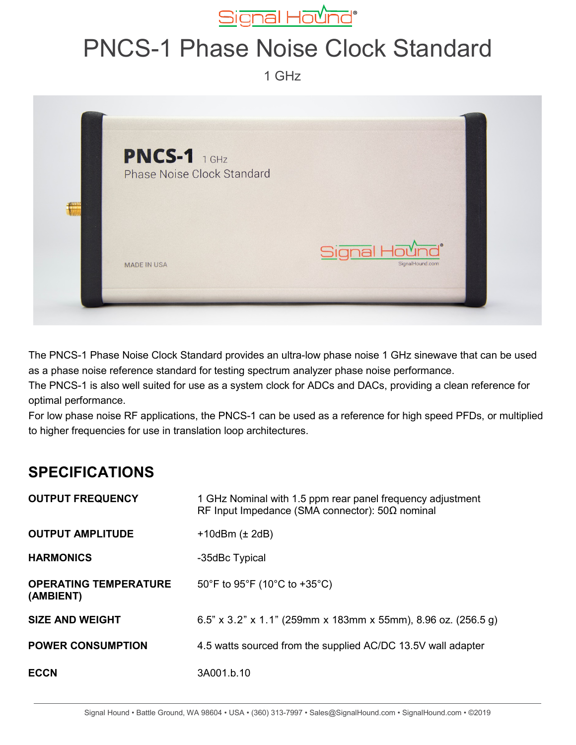

## PNCS-1 Phase Noise Clock Standard

1 GHz



The PNCS-1 Phase Noise Clock Standard provides an ultra-low phase noise 1 GHz sinewave that can be used as a phase noise reference standard for testing spectrum analyzer phase noise performance.

The PNCS-1 is also well suited for use as a system clock for ADCs and DACs, providing a clean reference for optimal performance.

For low phase noise RF applications, the PNCS-1 can be used as a reference for high speed PFDs, or multiplied to higher frequencies for use in translation loop architectures.

## **SPECIFICATIONS**

| <b>OUTPUT FREQUENCY</b>                   | 1 GHz Nominal with 1.5 ppm rear panel frequency adjustment<br>RF Input Impedance (SMA connector): $50\Omega$ nominal |
|-------------------------------------------|----------------------------------------------------------------------------------------------------------------------|
| <b>OUTPUT AMPLITUDE</b>                   | $+10$ dBm ( $\pm$ 2dB)                                                                                               |
| <b>HARMONICS</b>                          | -35dBc Typical                                                                                                       |
| <b>OPERATING TEMPERATURE</b><br>(AMBIENT) | 50°F to 95°F (10°C to +35°C)                                                                                         |
| <b>SIZE AND WEIGHT</b>                    | 6.5" x 3.2" x 1.1" (259mm x 183mm x 55mm), 8.96 oz. (256.5 g)                                                        |
| <b>POWER CONSUMPTION</b>                  | 4.5 watts sourced from the supplied AC/DC 13.5V wall adapter                                                         |
| <b>ECCN</b>                               | 3A001.b.10                                                                                                           |